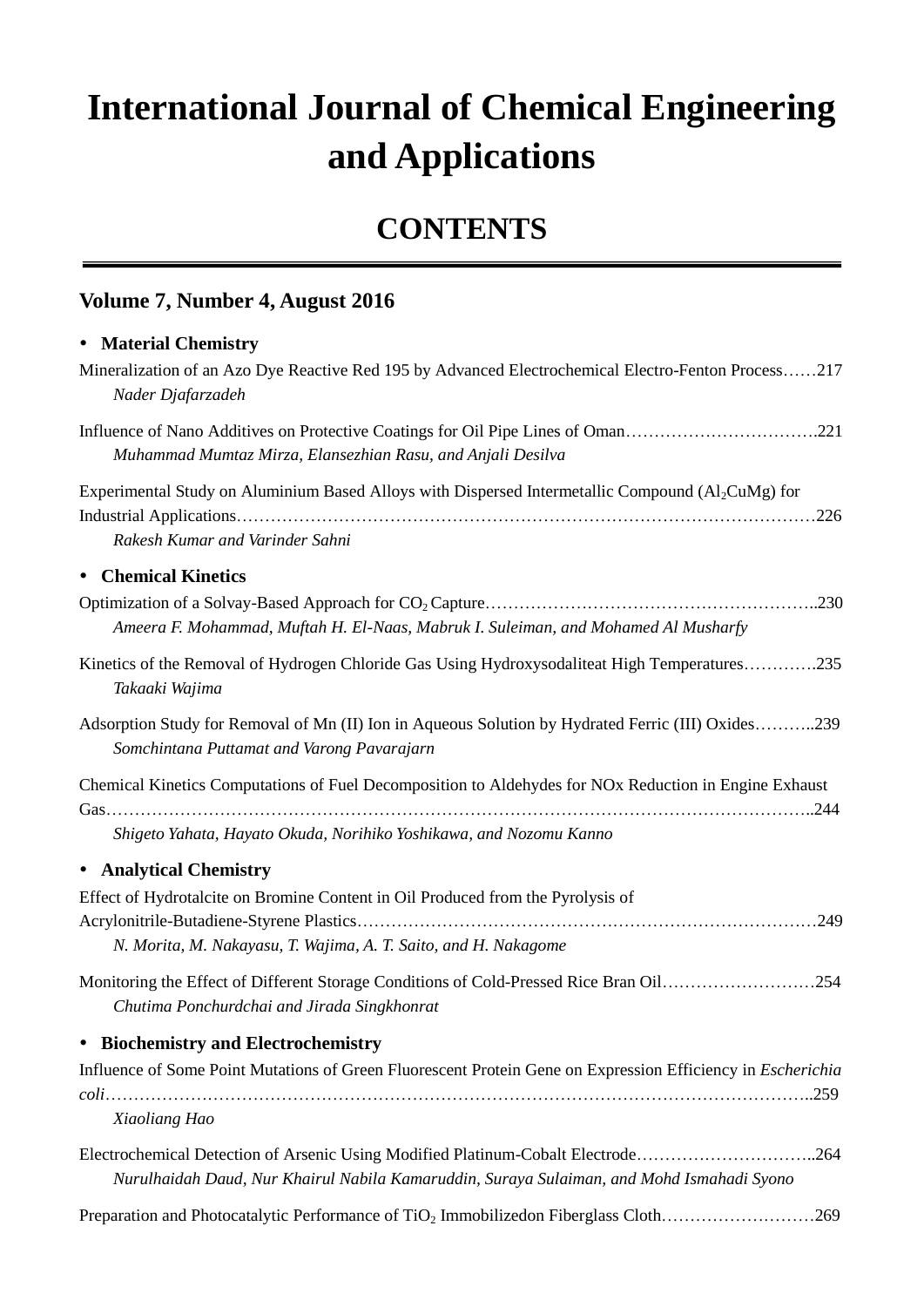# **International Journal of Chemical Engineering and Applications**

## **CONTENTS**

#### **Volume 7, Number 4, August 2016**

#### **Material Chemistry**

| Mineralization of an Azo Dye Reactive Red 195 by Advanced Electrochemical Electro-Fenton Process217<br>Nader Djafarzadeh                                                      |  |
|-------------------------------------------------------------------------------------------------------------------------------------------------------------------------------|--|
| Influence of Nano Additives on Protective Coatings for Oil Pipe Lines of Oman221<br>Muhammad Mumtaz Mirza, Elansezhian Rasu, and Anjali Desilva                               |  |
| Experimental Study on Aluminium Based Alloys with Dispersed Intermetallic Compound (Al <sub>2</sub> CuMg) for<br>Rakesh Kumar and Varinder Sahni                              |  |
| <b>Chemical Kinetics</b><br>$\bullet$                                                                                                                                         |  |
| Ameera F. Mohammad, Muftah H. El-Naas, Mabruk I. Suleiman, and Mohamed Al Musharfy                                                                                            |  |
| Kinetics of the Removal of Hydrogen Chloride Gas Using Hydroxysodaliteat High Temperatures235<br>Takaaki Wajima                                                               |  |
| Adsorption Study for Removal of Mn (II) Ion in Aqueous Solution by Hydrated Ferric (III) Oxides239<br>Somchintana Puttamat and Varong Pavarajarn                              |  |
| Chemical Kinetics Computations of Fuel Decomposition to Aldehydes for NOx Reduction in Engine Exhaust                                                                         |  |
| Shigeto Yahata, Hayato Okuda, Norihiko Yoshikawa, and Nozomu Kanno                                                                                                            |  |
| • Analytical Chemistry                                                                                                                                                        |  |
| Effect of Hydrotalcite on Bromine Content in Oil Produced from the Pyrolysis of                                                                                               |  |
| N. Morita, M. Nakayasu, T. Wajima, A. T. Saito, and H. Nakagome                                                                                                               |  |
| Monitoring the Effect of Different Storage Conditions of Cold-Pressed Rice Bran Oil254<br>Chutima Ponchurdchai and Jirada Singkhonrat                                         |  |
| • Biochemistry and Electrochemistry                                                                                                                                           |  |
| Influence of Some Point Mutations of Green Fluorescent Protein Gene on Expression Efficiency in <i>Escherichia</i>                                                            |  |
| Xiaoliang Hao                                                                                                                                                                 |  |
| Electrochemical Detection of Arsenic Using Modified Platinum-Cobalt Electrode264<br>Nurulhaidah Daud, Nur Khairul Nabila Kamaruddin, Suraya Sulaiman, and Mohd Ismahadi Syono |  |
| Preparation and Photocatalytic Performance of TiO <sub>2</sub> Immobilizedon Fiberglass Cloth269                                                                              |  |